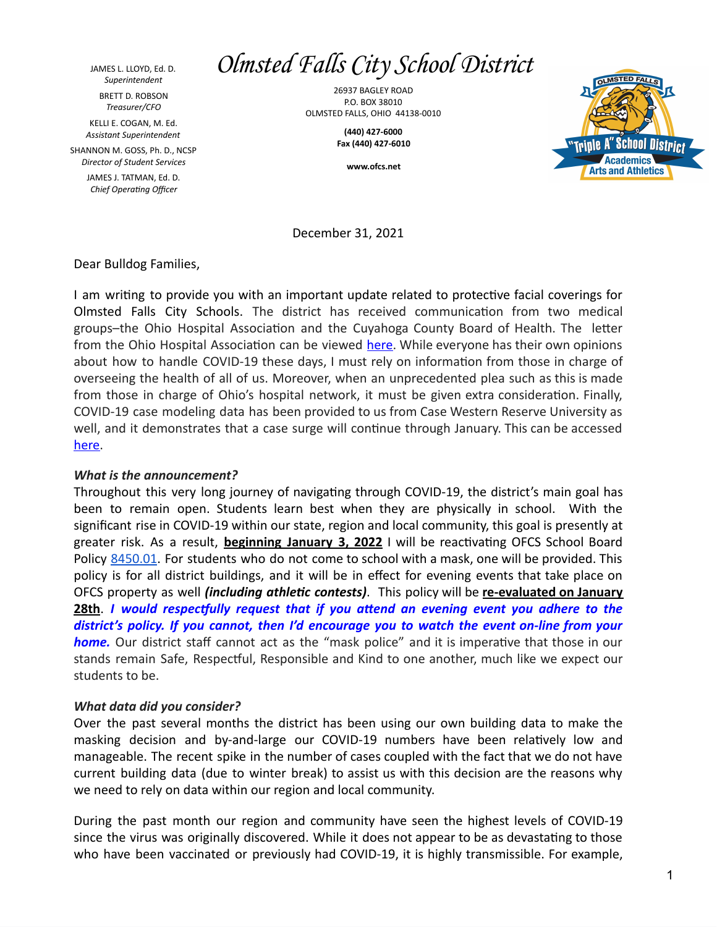JAMES L. LLOYD, Ed. D. *Superintendent* BRETT D. ROBSON *Treasurer/CFO*

KELLI E. COGAN, M. Ed. *Assistant Superintendent*

SHANNON M. GOSS, Ph. D., NCSP *Director of Student Services*

> JAMES J. TATMAN, Ed. D. *Chief Operating Officer*

## *Olmsted Falls City School District*

26937 BAGLEY ROAD P.O. BOX 38010 OLMSTED FALLS, OHIO 44138-0010

> **(440) 427-6000 Fax (440) 427-6010**

> > **www.ofcs.net**



December 31, 2021

Dear Bulldog Families,

I am writing to provide you with an important update related to protective facial coverings for Olmsted Falls City Schools. The district has received communication from two medical groups–the Ohio Hospital Association and the Cuyahoga County Board of Health. The letter from the Ohio Hospital Association can be viewed [here](https://drive.google.com/file/d/1TAy_IXnuOVUYkaC5SZxK9_3_URsAet6n/view?usp=sharing). While everyone has their own opinions about how to handle COVID-19 these days, I must rely on information from those in charge of overseeing the health of all of us. Moreover, when an unprecedented plea such as this is made from those in charge of Ohio's hospital network, it must be given extra consideration. Finally, COVID-19 case modeling data has been provided to us from Case Western Reserve University as well, and it demonstrates that a case surge will continue through January. This can be accessed [here.](https://drive.google.com/file/d/14g6CdH8HqP46Bv_R4PzX00JNWay7HPHa/view?usp=sharing)

## *What is the announcement?*

Throughout this very long journey of navigating through COVID-19, the district's main goal has been to remain open. Students learn best when they are physically in school. With the significant rise in COVID-19 within our state, region and local community, this goal is presently at greater risk. As a result, **beginning January 3, 2022** I will be reactivating OFCS School Board Policy [8450.01](https://drive.google.com/file/d/11vNqarLIdwVeC6eG0AmWlLYzttMcT60k/view?usp=sharing). For students who do not come to school with a mask, one will be provided. This policy is for all district buildings, and it will be in effect for evening events that take place on OFCS property as well *(including athletic contests)*. This policy will be **re-evaluated on January 28th**. *I would respectfully request that if you attend an evening event you adhere to the district's policy. If you cannot, then I'd encourage you to watch the event on-line from your home.* Our district staff cannot act as the "mask police" and it is imperative that those in our stands remain Safe, Respectful, Responsible and Kind to one another, much like we expect our students to be.

## *What data did you consider?*

Over the past several months the district has been using our own building data to make the masking decision and by-and-large our COVID-19 numbers have been relatively low and manageable. The recent spike in the number of cases coupled with the fact that we do not have current building data (due to winter break) to assist us with this decision are the reasons why we need to rely on data within our region and local community.

During the past month our region and community have seen the highest levels of COVID-19 since the virus was originally discovered. While it does not appear to be as devastating to those who have been vaccinated or previously had COVID-19, it is highly transmissible. For example,